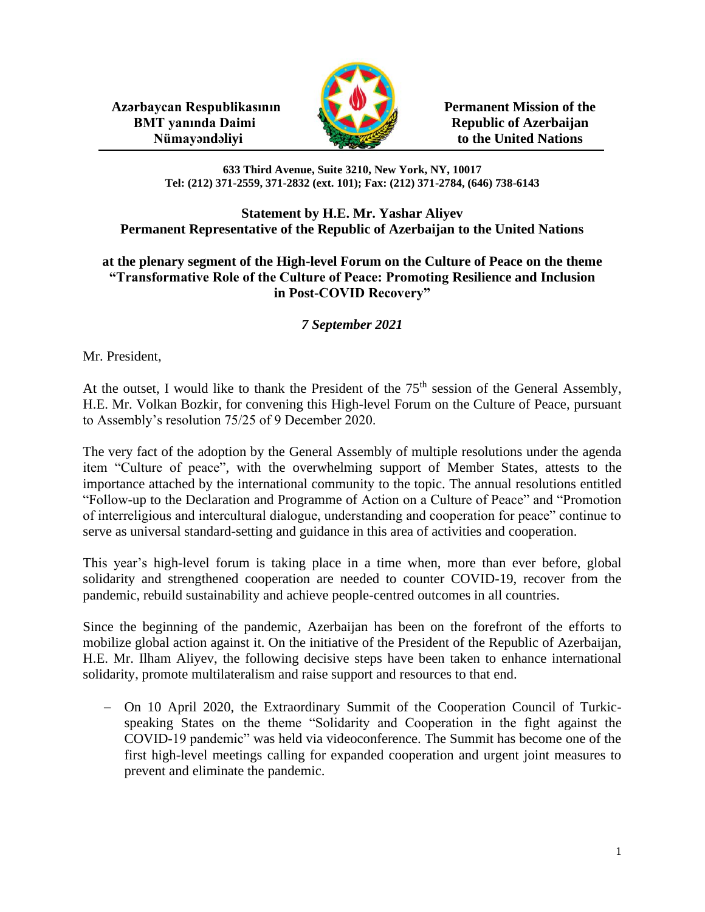**Azərbaycan Respublikasının Permanent Mission of the BMT yanında Daimi** Republic of Azerbaijan



**Nümayəndəliyi** to the United Nations

**633 Third Avenue, Suite 3210, New York, NY, 10017 Tel: (212) 371-2559, 371-2832 (ext. 101); Fax: (212) 371-2784, (646) 738-6143**

## **Statement by H.E. Mr. Yashar Aliyev Permanent Representative of the Republic of Azerbaijan to the United Nations**

## **at the plenary segment of the High-level Forum on the Culture of Peace on the theme "Transformative Role of the Culture of Peace: Promoting Resilience and Inclusion in Post-COVID Recovery"**

## *7 September 2021*

Mr. President,

At the outset, I would like to thank the President of the  $75<sup>th</sup>$  session of the General Assembly, H.E. Mr. Volkan Bozkir, for convening this High-level Forum on the Culture of Peace, pursuant to Assembly's resolution 75/25 of 9 December 2020.

The very fact of the adoption by the General Assembly of multiple resolutions under the agenda item "Culture of peace", with the overwhelming support of Member States, attests to the importance attached by the international community to the topic. The annual resolutions entitled "Follow-up to the Declaration and Programme of Action on a Culture of Peace" and "Promotion of interreligious and intercultural dialogue, understanding and cooperation for peace" continue to serve as universal standard-setting and guidance in this area of activities and cooperation.

This year's high-level forum is taking place in a time when, more than ever before, global solidarity and strengthened cooperation are needed to counter COVID-19, recover from the pandemic, rebuild sustainability and achieve people-centred outcomes in all countries.

Since the beginning of the pandemic, Azerbaijan has been on the forefront of the efforts to mobilize global action against it. On the initiative of the President of the Republic of Azerbaijan, H.E. Mr. Ilham Aliyev, the following decisive steps have been taken to enhance international solidarity, promote multilateralism and raise support and resources to that end.

− On 10 April 2020, the Extraordinary Summit of the Cooperation Council of Turkicspeaking States on the theme "Solidarity and Cooperation in the fight against the COVID-19 pandemic" was held via videoconference. The Summit has become one of the first high-level meetings calling for expanded cooperation and urgent joint measures to prevent and eliminate the pandemic.